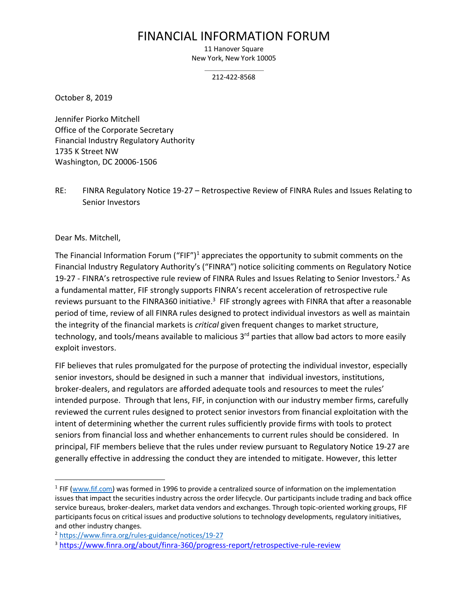# FINANCIAL INFORMATION FORUM

11 Hanover Square New York, New York 10005

212-422-8568

October 8, 2019

Jennifer Piorko Mitchell Office of the Corporate Secretary Financial Industry Regulatory Authority 1735 K Street NW Washington, DC 20006-1506

RE: FINRA Regulatory Notice 19-27 – Retrospective Review of FINRA Rules and Issues Relating to Senior Investors

Dear Ms. Mitchell,

The Financial Information Forum ("FIF")<sup>1</sup> appreciates the opportunity to submit comments on the Financial Industry Regulatory Authority's ("FINRA") notice soliciting comments on Regulatory Notice 19-27 - FINRA's retrospective rule review of FINRA Rules and Issues Relating to Senior Investors.<sup>2</sup> As a fundamental matter, FIF strongly supports FINRA's recent acceleration of retrospective rule reviews pursuant to the FINRA360 initiative.<sup>3</sup> FIF strongly agrees with FINRA that after a reasonable period of time, review of all FINRA rules designed to protect individual investors as well as maintain the integrity of the financial markets is *critical* given frequent changes to market structure, technology, and tools/means available to malicious 3<sup>rd</sup> parties that allow bad actors to more easily exploit investors.

FIF believes that rules promulgated for the purpose of protecting the individual investor, especially senior investors, should be designed in such a manner that individual investors, institutions, broker-dealers, and regulators are afforded adequate tools and resources to meet the rules' intended purpose. Through that lens, FIF, in conjunction with our industry member firms, carefully reviewed the current rules designed to protect senior investors from financial exploitation with the intent of determining whether the current rules sufficiently provide firms with tools to protect seniors from financial loss and whether enhancements to current rules should be considered. In principal, FIF members believe that the rules under review pursuant to Regulatory Notice 19-27 are generally effective in addressing the conduct they are intended to mitigate. However, this letter

<sup>&</sup>lt;sup>1</sup> FIF [\(www.fif.com\)](http://www.fif.com/) was formed in 1996 to provide a centralized source of information on the implementation issues that impact the securities industry across the order lifecycle. Our participants include trading and back office service bureaus, broker-dealers, market data vendors and exchanges. Through topic-oriented working groups, FIF participants focus on critical issues and productive solutions to technology developments, regulatory initiatives, and other industry changes.

<sup>2</sup> <https://www.finra.org/rules-guidance/notices/19-27>

<sup>3</sup> <https://www.finra.org/about/finra-360/progress-report/retrospective-rule-review>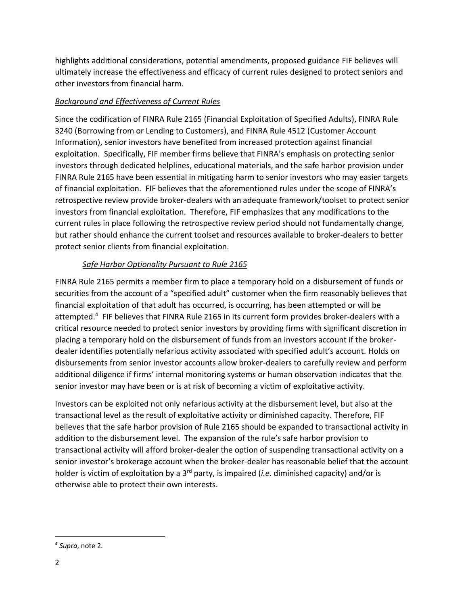highlights additional considerations, potential amendments, proposed guidance FIF believes will ultimately increase the effectiveness and efficacy of current rules designed to protect seniors and other investors from financial harm.

## *Background and Effectiveness of Current Rules*

Since the codification of FINRA Rule 2165 (Financial Exploitation of Specified Adults), FINRA Rule 3240 (Borrowing from or Lending to Customers), and FINRA Rule 4512 (Customer Account Information), senior investors have benefited from increased protection against financial exploitation. Specifically, FIF member firms believe that FINRA's emphasis on protecting senior investors through dedicated helplines, educational materials, and the safe harbor provision under FINRA Rule 2165 have been essential in mitigating harm to senior investors who may easier targets of financial exploitation. FIF believes that the aforementioned rules under the scope of FINRA's retrospective review provide broker-dealers with an adequate framework/toolset to protect senior investors from financial exploitation. Therefore, FIF emphasizes that any modifications to the current rules in place following the retrospective review period should not fundamentally change, but rather should enhance the current toolset and resources available to broker-dealers to better protect senior clients from financial exploitation.

## *Safe Harbor Optionality Pursuant to Rule 2165*

FINRA Rule 2165 permits a member firm to place a temporary hold on a disbursement of funds or securities from the account of a "specified adult" customer when the firm reasonably believes that financial exploitation of that adult has occurred, is occurring, has been attempted or will be attempted.<sup>4</sup> FIF believes that FINRA Rule 2165 in its current form provides broker-dealers with a critical resource needed to protect senior investors by providing firms with significant discretion in placing a temporary hold on the disbursement of funds from an investors account if the brokerdealer identifies potentially nefarious activity associated with specified adult's account. Holds on disbursements from senior investor accounts allow broker-dealers to carefully review and perform additional diligence if firms' internal monitoring systems or human observation indicates that the senior investor may have been or is at risk of becoming a victim of exploitative activity.

Investors can be exploited not only nefarious activity at the disbursement level, but also at the transactional level as the result of exploitative activity or diminished capacity. Therefore, FIF believes that the safe harbor provision of Rule 2165 should be expanded to transactional activity in addition to the disbursement level. The expansion of the rule's safe harbor provision to transactional activity will afford broker-dealer the option of suspending transactional activity on a senior investor's brokerage account when the broker-dealer has reasonable belief that the account holder is victim of exploitation by a 3rd party, is impaired (*i.e.* diminished capacity) and/or is otherwise able to protect their own interests.

<sup>4</sup> *Supra*, note 2.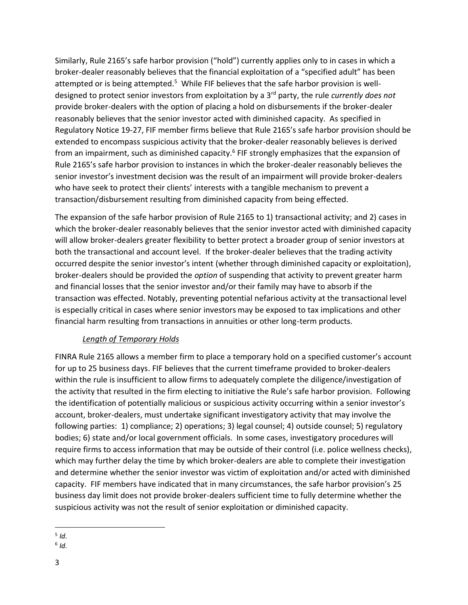Similarly, Rule 2165's safe harbor provision ("hold") currently applies only to in cases in which a broker-dealer reasonably believes that the financial exploitation of a "specified adult" has been attempted or is being attempted.<sup>5</sup> While FIF believes that the safe harbor provision is welldesigned to protect senior investors from exploitation by a 3rd party, the rule *currently does not* provide broker-dealers with the option of placing a hold on disbursements if the broker-dealer reasonably believes that the senior investor acted with diminished capacity. As specified in Regulatory Notice 19-27, FIF member firms believe that Rule 2165's safe harbor provision should be extended to encompass suspicious activity that the broker-dealer reasonably believes is derived from an impairment, such as diminished capacity.<sup>6</sup> FIF strongly emphasizes that the expansion of Rule 2165's safe harbor provision to instances in which the broker-dealer reasonably believes the senior investor's investment decision was the result of an impairment will provide broker-dealers who have seek to protect their clients' interests with a tangible mechanism to prevent a transaction/disbursement resulting from diminished capacity from being effected.

The expansion of the safe harbor provision of Rule 2165 to 1) transactional activity; and 2) cases in which the broker-dealer reasonably believes that the senior investor acted with diminished capacity will allow broker-dealers greater flexibility to better protect a broader group of senior investors at both the transactional and account level. If the broker-dealer believes that the trading activity occurred despite the senior investor's intent (whether through diminished capacity or exploitation), broker-dealers should be provided the *option* of suspending that activity to prevent greater harm and financial losses that the senior investor and/or their family may have to absorb if the transaction was effected. Notably, preventing potential nefarious activity at the transactional level is especially critical in cases where senior investors may be exposed to tax implications and other financial harm resulting from transactions in annuities or other long-term products.

#### *Length of Temporary Holds*

FINRA Rule 2165 allows a member firm to place a temporary hold on a specified customer's account for up to 25 business days. FIF believes that the current timeframe provided to broker-dealers within the rule is insufficient to allow firms to adequately complete the diligence/investigation of the activity that resulted in the firm electing to initiative the Rule's safe harbor provision. Following the identification of potentially malicious or suspicious activity occurring within a senior investor's account, broker-dealers, must undertake significant investigatory activity that may involve the following parties: 1) compliance; 2) operations; 3) legal counsel; 4) outside counsel; 5) regulatory bodies; 6) state and/or local government officials. In some cases, investigatory procedures will require firms to access information that may be outside of their control (i.e. police wellness checks), which may further delay the time by which broker-dealers are able to complete their investigation and determine whether the senior investor was victim of exploitation and/or acted with diminished capacity. FIF members have indicated that in many circumstances, the safe harbor provision's 25 business day limit does not provide broker-dealers sufficient time to fully determine whether the suspicious activity was not the result of senior exploitation or diminished capacity.

<sup>5</sup> *Id.*

<sup>6</sup> *Id.*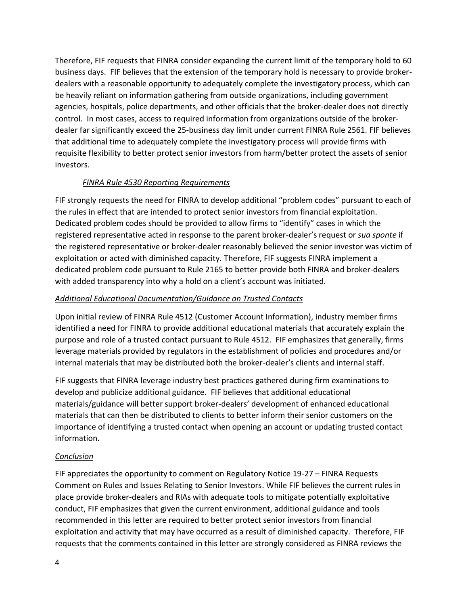Therefore, FIF requests that FINRA consider expanding the current limit of the temporary hold to 60 business days. FIF believes that the extension of the temporary hold is necessary to provide brokerdealers with a reasonable opportunity to adequately complete the investigatory process, which can be heavily reliant on information gathering from outside organizations, including government agencies, hospitals, police departments, and other officials that the broker-dealer does not directly control. In most cases, access to required information from organizations outside of the brokerdealer far significantly exceed the 25-business day limit under current FINRA Rule 2561. FIF believes that additional time to adequately complete the investigatory process will provide firms with requisite flexibility to better protect senior investors from harm/better protect the assets of senior investors.

### *FINRA Rule 4530 Reporting Requirements*

FIF strongly requests the need for FINRA to develop additional "problem codes" pursuant to each of the rules in effect that are intended to protect senior investors from financial exploitation. Dedicated problem codes should be provided to allow firms to "identify" cases in which the registered representative acted in response to the parent broker-dealer's request or *sua sponte* if the registered representative or broker-dealer reasonably believed the senior investor was victim of exploitation or acted with diminished capacity. Therefore, FIF suggests FINRA implement a dedicated problem code pursuant to Rule 2165 to better provide both FINRA and broker-dealers with added transparency into why a hold on a client's account was initiated.

#### *Additional Educational Documentation/Guidance on Trusted Contacts*

Upon initial review of FINRA Rule 4512 (Customer Account Information), industry member firms identified a need for FINRA to provide additional educational materials that accurately explain the purpose and role of a trusted contact pursuant to Rule 4512. FIF emphasizes that generally, firms leverage materials provided by regulators in the establishment of policies and procedures and/or internal materials that may be distributed both the broker-dealer's clients and internal staff.

FIF suggests that FINRA leverage industry best practices gathered during firm examinations to develop and publicize additional guidance. FIF believes that additional educational materials/guidance will better support broker-dealers' development of enhanced educational materials that can then be distributed to clients to better inform their senior customers on the importance of identifying a trusted contact when opening an account or updating trusted contact information.

#### *Conclusion*

FIF appreciates the opportunity to comment on Regulatory Notice 19-27 – FINRA Requests Comment on Rules and Issues Relating to Senior Investors. While FIF believes the current rules in place provide broker-dealers and RIAs with adequate tools to mitigate potentially exploitative conduct, FIF emphasizes that given the current environment, additional guidance and tools recommended in this letter are required to better protect senior investors from financial exploitation and activity that may have occurred as a result of diminished capacity. Therefore, FIF requests that the comments contained in this letter are strongly considered as FINRA reviews the